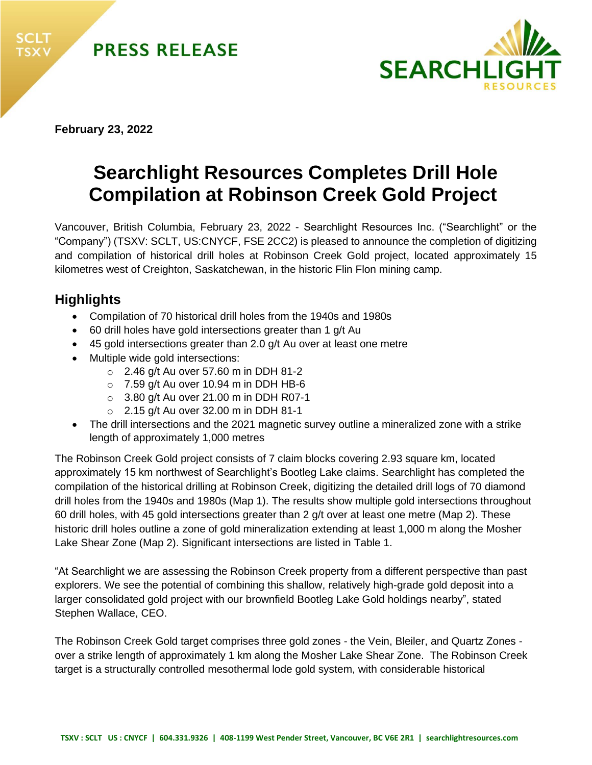



**February 23, 2022** 

# **Searchlight Resources Completes Drill Hole Compilation at Robinson Creek Gold Project**

Vancouver, British Columbia, February 23, 2022 - Searchlight Resources Inc. ("Searchlight" or the "Company") (TSXV: SCLT, US:CNYCF, FSE 2CC2) is pleased to announce the completion of digitizing and compilation of historical drill holes at Robinson Creek Gold project, located approximately 15 kilometres west of Creighton, Saskatchewan, in the historic Flin Flon mining camp.

# **Highlights**

- Compilation of 70 historical drill holes from the 1940s and 1980s
- 60 drill holes have gold intersections greater than 1 g/t Au
- 45 gold intersections greater than 2.0 g/t Au over at least one metre
- Multiple wide gold intersections:
	- o 2.46 g/t Au over 57.60 m in DDH 81-2
	- $\circ$  7.59 g/t Au over 10.94 m in DDH HB-6
	- o 3.80 g/t Au over 21.00 m in DDH R07-1
	- $\circ$  2.15 g/t Au over 32.00 m in DDH 81-1
- The drill intersections and the 2021 magnetic survey outline a mineralized zone with a strike length of approximately 1,000 metres

The Robinson Creek Gold project consists of 7 claim blocks covering 2.93 square km, located approximately 15 km northwest of Searchlight's Bootleg Lake claims. Searchlight has completed the compilation of the historical drilling at Robinson Creek, digitizing the detailed drill logs of 70 diamond drill holes from the 1940s and 1980s (Map 1). The results show multiple gold intersections throughout 60 drill holes, with 45 gold intersections greater than 2 g/t over at least one metre (Map 2). These historic drill holes outline a zone of gold mineralization extending at least 1,000 m along the Mosher Lake Shear Zone (Map 2). Significant intersections are listed in Table 1.

"At Searchlight we are assessing the Robinson Creek property from a different perspective than past explorers. We see the potential of combining this shallow, relatively high-grade gold deposit into a larger consolidated gold project with our brownfield Bootleg Lake Gold holdings nearby", stated Stephen Wallace, CEO.

The Robinson Creek Gold target comprises three gold zones - the Vein, Bleiler, and Quartz Zones over a strike length of approximately 1 km along the Mosher Lake Shear Zone. The Robinson Creek target is a structurally controlled mesothermal lode gold system, with considerable historical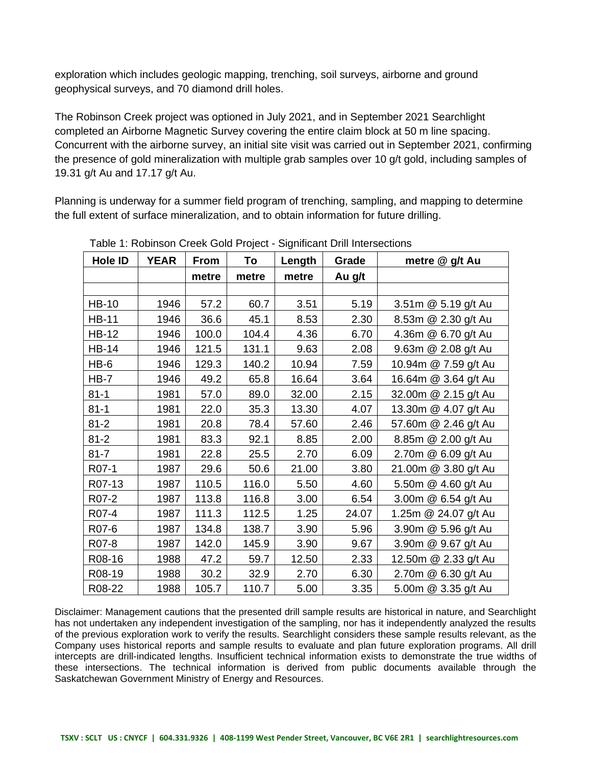exploration which includes geologic mapping, trenching, soil surveys, airborne and ground geophysical surveys, and 70 diamond drill holes.

The Robinson Creek project was optioned in July 2021, and in September 2021 Searchlight completed an Airborne Magnetic Survey covering the entire claim block at 50 m line spacing. Concurrent with the airborne survey, an initial site visit was carried out in September 2021, confirming the presence of gold mineralization with multiple grab samples over 10 g/t gold, including samples of 19.31 g/t Au and 17.17 g/t Au.

Planning is underway for a summer field program of trenching, sampling, and mapping to determine the full extent of surface mineralization, and to obtain information for future drilling.

| Hole ID      | <b>YEAR</b> | <b>From</b> | To    | Length | Grade  | metre @ g/t Au       |
|--------------|-------------|-------------|-------|--------|--------|----------------------|
|              |             | metre       | metre | metre  | Au g/t |                      |
|              |             |             |       |        |        |                      |
| <b>HB-10</b> | 1946        | 57.2        | 60.7  | 3.51   | 5.19   | 3.51m @ 5.19 g/t Au  |
| <b>HB-11</b> | 1946        | 36.6        | 45.1  | 8.53   | 2.30   | 8.53m @ 2.30 g/t Au  |
| <b>HB-12</b> | 1946        | 100.0       | 104.4 | 4.36   | 6.70   | 4.36m @ 6.70 g/t Au  |
| <b>HB-14</b> | 1946        | 121.5       | 131.1 | 9.63   | 2.08   | 9.63m @ 2.08 g/t Au  |
| HB-6         | 1946        | 129.3       | 140.2 | 10.94  | 7.59   | 10.94m @ 7.59 g/t Au |
| $HB-7$       | 1946        | 49.2        | 65.8  | 16.64  | 3.64   | 16.64m @ 3.64 g/t Au |
| $81 - 1$     | 1981        | 57.0        | 89.0  | 32.00  | 2.15   | 32.00m @ 2.15 g/t Au |
| $81 - 1$     | 1981        | 22.0        | 35.3  | 13.30  | 4.07   | 13.30m @ 4.07 g/t Au |
| $81 - 2$     | 1981        | 20.8        | 78.4  | 57.60  | 2.46   | 57.60m @ 2.46 g/t Au |
| $81 - 2$     | 1981        | 83.3        | 92.1  | 8.85   | 2.00   | 8.85m @ 2.00 g/t Au  |
| $81 - 7$     | 1981        | 22.8        | 25.5  | 2.70   | 6.09   | 2.70m @ 6.09 g/t Au  |
| R07-1        | 1987        | 29.6        | 50.6  | 21.00  | 3.80   | 21.00m @ 3.80 g/t Au |
| R07-13       | 1987        | 110.5       | 116.0 | 5.50   | 4.60   | 5.50m @ 4.60 g/t Au  |
| R07-2        | 1987        | 113.8       | 116.8 | 3.00   | 6.54   | 3.00m @ 6.54 g/t Au  |
| R07-4        | 1987        | 111.3       | 112.5 | 1.25   | 24.07  | 1.25m @ 24.07 g/t Au |
| R07-6        | 1987        | 134.8       | 138.7 | 3.90   | 5.96   | 3.90m @ 5.96 g/t Au  |
| R07-8        | 1987        | 142.0       | 145.9 | 3.90   | 9.67   | 3.90m @ 9.67 g/t Au  |
| R08-16       | 1988        | 47.2        | 59.7  | 12.50  | 2.33   | 12.50m @ 2.33 g/t Au |
| R08-19       | 1988        | 30.2        | 32.9  | 2.70   | 6.30   | 2.70m @ 6.30 g/t Au  |
| R08-22       | 1988        | 105.7       | 110.7 | 5.00   | 3.35   | 5.00m @ 3.35 g/t Au  |

Table 1: Robinson Creek Gold Project - Significant Drill Intersections

Disclaimer: Management cautions that the presented drill sample results are historical in nature, and Searchlight has not undertaken any independent investigation of the sampling, nor has it independently analyzed the results of the previous exploration work to verify the results. Searchlight considers these sample results relevant, as the Company uses historical reports and sample results to evaluate and plan future exploration programs. All drill intercepts are drill-indicated lengths. Insufficient technical information exists to demonstrate the true widths of these intersections. The technical information is derived from public documents available through the Saskatchewan Government Ministry of Energy and Resources.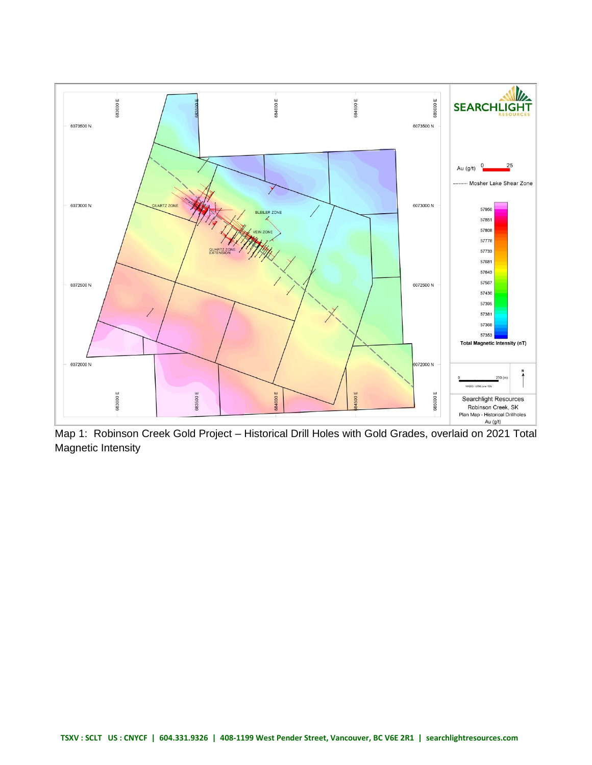

Map 1: Robinson Creek Gold Project – Historical Drill Holes with Gold Grades, overlaid on 2021 Total Magnetic Intensity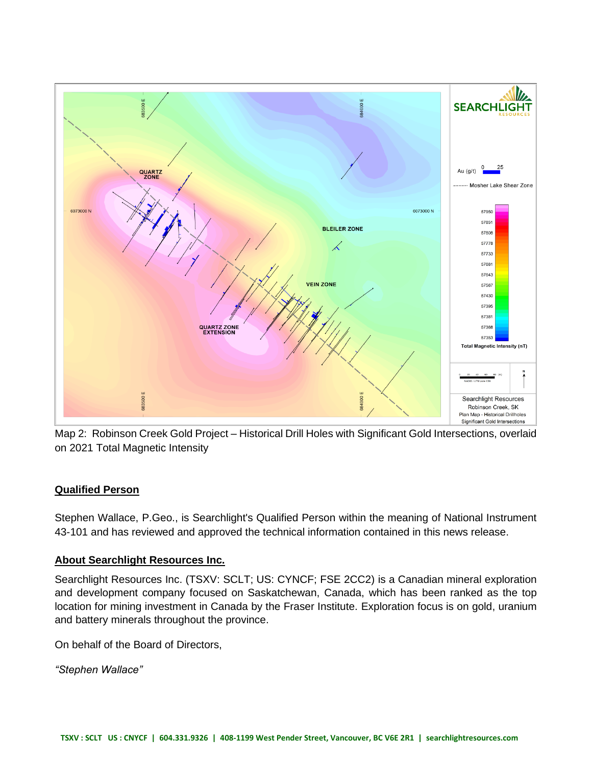

Map 2: Robinson Creek Gold Project – Historical Drill Holes with Significant Gold Intersections, overlaid on 2021 Total Magnetic Intensity

## **Qualified Person**

Stephen Wallace, P.Geo., is Searchlight's Qualified Person within the meaning of National Instrument 43-101 and has reviewed and approved the technical information contained in this news release.

## **About Searchlight Resources Inc.**

Searchlight Resources Inc. (TSXV: SCLT; US: CYNCF; FSE 2CC2) is a Canadian mineral exploration and development company focused on Saskatchewan, Canada, which has been ranked as the top location for mining investment in Canada by the Fraser Institute. Exploration focus is on gold, uranium and battery minerals throughout the province.

On behalf of the Board of Directors,

*"Stephen Wallace"*